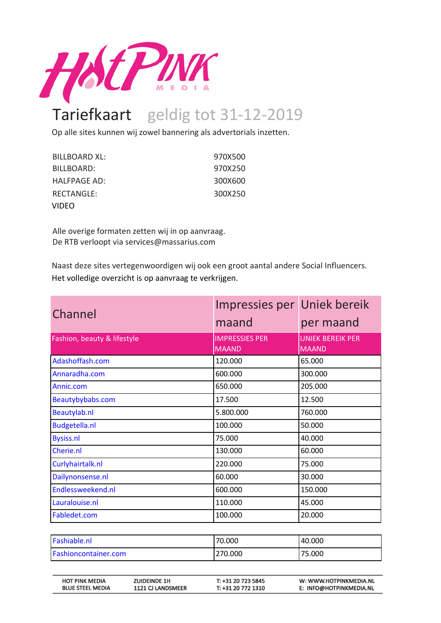

## Tariefkaart geldig tot 31-12-2019

Op alle sites kunnen wij zowel bannering als advertorials inzetten.

| BILLBOARD XL: | 970X500 |
|---------------|---------|
| BILLBOARD:    | 970X250 |
| HALFPAGE AD:  | 300X600 |
| RECTANGLE:    | 300X250 |
| VIDEO         |         |

Alle overige formaten zetten wij in op aanvraag. De RTB verloopt via services@massarius.com

Naast deze sites vertegenwoordigen wij ook een groot aantal andere Social Influencers. Het volledige overzicht is op aanvraag te verkrijgen.

| Channel                                          |                                                 | Impressies per Uniek bereik              |                                                   |
|--------------------------------------------------|-------------------------------------------------|------------------------------------------|---------------------------------------------------|
|                                                  |                                                 | maand                                    | per maand                                         |
| Fashion, beauty & lifestyle                      |                                                 | <b>IMPRESSIES PER</b>                    | <b>UNIEK BEREIK PER</b>                           |
|                                                  |                                                 | <b>MAAND</b>                             | <b>MAAND</b>                                      |
| Adashoffash.com                                  |                                                 | 120.000                                  | 65.000                                            |
| Annaradha.com                                    |                                                 | 600.000                                  | 300.000                                           |
| Annic.com                                        |                                                 | 650.000                                  | 205.000                                           |
| Beautybybabs.com                                 |                                                 | 17.500                                   | 12.500                                            |
| Beautylab.nl                                     |                                                 | 5.800.000                                | 760.000                                           |
| <b>Budgetella.nl</b>                             |                                                 | 100.000                                  | 50.000                                            |
| <b>Bysiss.nl</b>                                 |                                                 | 75.000                                   | 40.000                                            |
| Cherie.nl                                        |                                                 | 130.000                                  | 60.000                                            |
| Curlyhairtalk.nl                                 |                                                 | 220.000                                  | 75.000                                            |
| Dailynonsense.nl                                 |                                                 | 60.000                                   | 30.000                                            |
| Endlessweekend.nl                                |                                                 | 600.000                                  | 150.000                                           |
| Lauralouise.nl                                   |                                                 | 110.000                                  | 45.000                                            |
| Fabledet.com                                     |                                                 | 100.000                                  | 20.000                                            |
|                                                  |                                                 |                                          |                                                   |
| Fashiable.nl                                     |                                                 | 70.000                                   | 40.000                                            |
| Fashioncontainer.com                             |                                                 | 270.000                                  | 75.000                                            |
| <b>HOT PINK MEDIA</b><br><b>BLUE STEEL MEDIA</b> | <b>ZUIDEINDE 1H</b><br><b>1121 CJ LANDSMEER</b> | T: +31 20 723 5845<br>T: +31 20 772 1310 | W: WWW.HOTPINKMEDIA.NL<br>E: INFO@HOTPINKMEDIA.NL |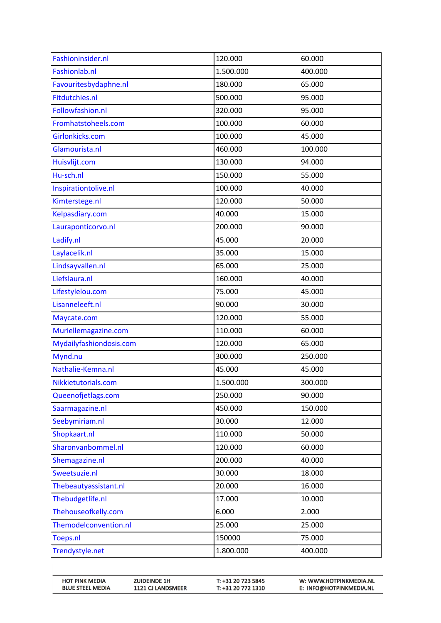| Fashioninsider.nl       | 120.000   | 60.000  |
|-------------------------|-----------|---------|
| Fashionlab.nl           | 1.500.000 | 400.000 |
| Favouritesbydaphne.nl   | 180.000   | 65.000  |
| Fitdutchies.nl          | 500.000   | 95.000  |
| Followfashion.nl        | 320.000   | 95.000  |
| Fromhatstoheels.com     | 100.000   | 60.000  |
| Girlonkicks.com         | 100.000   | 45.000  |
| Glamourista.nl          | 460.000   | 100.000 |
| Huisvlijt.com           | 130.000   | 94.000  |
| Hu-sch.nl               | 150.000   | 55.000  |
| Inspirationtolive.nl    | 100.000   | 40.000  |
| Kimterstege.nl          | 120.000   | 50.000  |
| Kelpasdiary.com         | 40.000    | 15.000  |
| Lauraponticorvo.nl      | 200.000   | 90.000  |
| Ladify.nl               | 45.000    | 20.000  |
| Laylacelik.nl           | 35.000    | 15.000  |
| Lindsayvallen.nl        | 65.000    | 25.000  |
| Liefslaura.nl           | 160.000   | 40.000  |
| Lifestylelou.com        | 75.000    | 45.000  |
| Lisanneleeft.nl         | 90.000    | 30.000  |
| Maycate.com             | 120.000   | 55.000  |
| Muriellemagazine.com    | 110.000   | 60.000  |
| Mydailyfashiondosis.com | 120.000   | 65.000  |
| Mynd.nu                 | 300.000   | 250.000 |
| Nathalie-Kemna.nl       | 45.000    | 45.000  |
| Nikkietutorials.com     | 1.500.000 | 300.000 |
| Queenofjetlags.com      | 250.000   | 90.000  |
| Saarmagazine.nl         | 450.000   | 150.000 |
| Seebymiriam.nl          | 30.000    | 12.000  |
| Shopkaart.nl            | 110.000   | 50.000  |
| Sharonvanbommel.nl      | 120.000   | 60.000  |
| Shemagazine.nl          | 200.000   | 40.000  |
| Sweetsuzie.nl           | 30.000    | 18.000  |
| Thebeautyassistant.nl   | 20.000    | 16.000  |
| Thebudgetlife.nl        | 17.000    | 10.000  |
| Thehouseofkelly.com     | 6.000     | 2.000   |
| Themodelconvention.nl   | 25.000    | 25.000  |
| Toeps.nl                | 150000    | 75.000  |
| Trendystyle.net         | 1.800.000 | 400.000 |

| <b>HOT PINK MEDIA</b>   | <b>ZUIDEINDE 1H</b>      | T: +31 20 723 5845 | W: WWW.HOTPINKMEDIA.NL  |
|-------------------------|--------------------------|--------------------|-------------------------|
| <b>BLUE STEEL MEDIA</b> | <b>1121 CJ LANDSMEER</b> | T: +31 20 772 1310 | E: INFO@HOTPINKMEDIA.NL |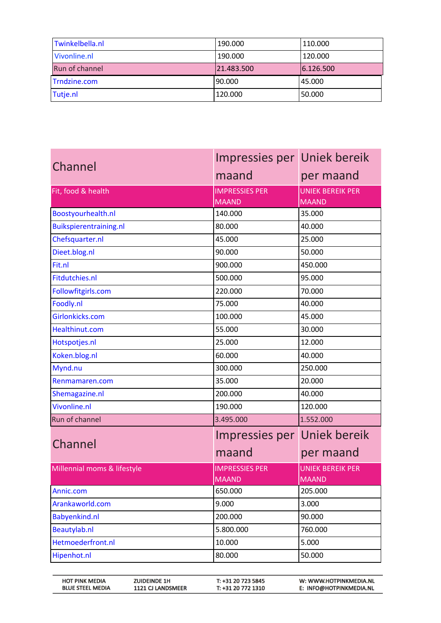| Twinkelbella.nl | 190.000    | 110.000   |
|-----------------|------------|-----------|
| Vivonline.nl    | 190.000    | 120.000   |
| Run of channel  | 21.483.500 | 6.126.500 |
| Trndzine.com    | 90.000     | 45.000    |
| Tutje.nl        | 120.000    | 50.000    |

| Channel                     | Impressies per Uniek bereik           |                                         |
|-----------------------------|---------------------------------------|-----------------------------------------|
|                             | maand                                 | per maand                               |
| Fit, food & health          | <b>IMPRESSIES PER</b><br><b>MAAND</b> | <b>UNIEK BEREIK PER</b><br><b>MAAND</b> |
| Boostyourhealth.nl          | 140.000                               | 35.000                                  |
| Buikspierentraining.nl      | 80.000                                | 40.000                                  |
| Chefsquarter.nl             | 45.000                                | 25.000                                  |
| Dieet.blog.nl               | 90.000                                | 50.000                                  |
| Fit.nl                      | 900.000                               | 450.000                                 |
| Fitdutchies.nl              | 500.000                               | 95.000                                  |
| Followfitgirls.com          | 220.000                               | 70.000                                  |
| Foodly.nl                   | 75.000                                | 40.000                                  |
| Girlonkicks.com             | 100.000                               | 45.000                                  |
| Healthinut.com              | 55.000                                | 30.000                                  |
| Hotspotjes.nl               | 25.000                                | 12.000                                  |
| Koken.blog.nl               | 60.000                                | 40.000                                  |
| Mynd.nu                     | 300.000                               | 250.000                                 |
| Renmamaren.com              | 35.000                                | 20.000                                  |
| Shemagazine.nl              | 200.000                               | 40.000                                  |
| Vivonline.nl                | 190.000                               | 120.000                                 |
| Run of channel              | 3.495.000                             | 1.552.000                               |
|                             | Impressies per Uniek bereik           |                                         |
| Channel                     | maand                                 | per maand                               |
| Millennial moms & lifestyle | <b>IMPRESSIES PER</b>                 | <b>UNIEK BEREIK PER</b>                 |
|                             | <b>MAAND</b>                          | <b>MAAND</b>                            |
| Annic.com                   | 650.000                               | 205.000                                 |
| Arankaworld.com             | 9.000                                 | 3.000                                   |
| Babyenkind.nl               | 200.000                               | 90.000                                  |
| Beautylab.nl                | 5.800.000                             | 760.000                                 |
| Hetmoederfront.nl           | 10.000                                | 5.000                                   |
| Hipenhot.nl                 | 80.000                                | 50.000                                  |

| <b>HOT PINK MEDIA</b>   | <b>ZUIDEINDE 1H</b>      | T: +31 20 723 5845 | W: WWW.HOTPINKMEDIA.NL  |
|-------------------------|--------------------------|--------------------|-------------------------|
| <b>BLUE STEEL MEDIA</b> | <b>1121 CJ LANDSMEER</b> | T: +31 20 772 1310 | E: INFO@HOTPINKMEDIA.NL |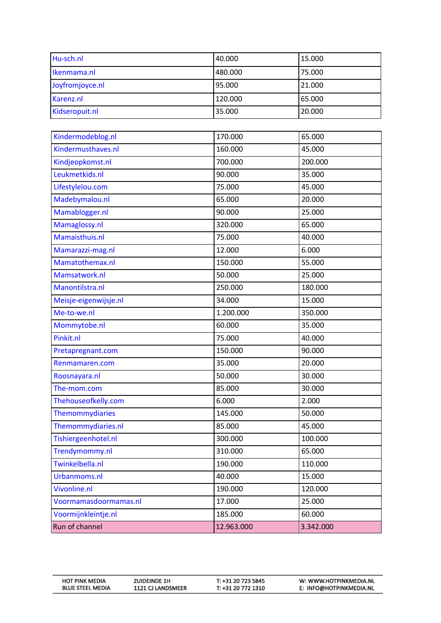| Hu-sch.nl       | 40.000  | 15.000 |
|-----------------|---------|--------|
| Ikenmama.nl     | 480.000 | 75.000 |
| Joyfromjoyce.nl | 95.000  | 21.000 |
| Karenz.nl       | 120.000 | 65.000 |
| Kidseropuit.nl  | 35.000  | 20.000 |

| Kindermodeblog.nl     | 170.000    | 65.000    |
|-----------------------|------------|-----------|
| Kindermusthaves.nl    | 160.000    | 45.000    |
| Kindjeopkomst.nl      | 700.000    | 200.000   |
| Leukmetkids.nl        | 90.000     | 35.000    |
| Lifestylelou.com      | 75.000     | 45.000    |
| Madebymalou.nl        | 65.000     | 20.000    |
| Mamablogger.nl        | 90.000     | 25.000    |
| Mamaglossy.nl         | 320.000    | 65.000    |
| Mamaisthuis.nl        | 75.000     | 40.000    |
| Mamarazzi-mag.nl      | 12.000     | 6.000     |
| Mamatothemax.nl       | 150.000    | 55.000    |
| Mamsatwork.nl         | 50.000     | 25.000    |
| Manontilstra.nl       | 250.000    | 180.000   |
| Meisje-eigenwijsje.nl | 34.000     | 15.000    |
| Me-to-we.nl           | 1.200.000  | 350.000   |
| Mommytobe.nl          | 60.000     | 35.000    |
| Pinkit.nl             | 75.000     | 40.000    |
| Pretapregnant.com     | 150.000    | 90.000    |
| Renmamaren.com        | 35.000     | 20.000    |
| Roosnayara.nl         | 50.000     | 30.000    |
| The-mom.com           | 85.000     | 30.000    |
| Thehouseofkelly.com   | 6.000      | 2.000     |
| Themommydiaries       | 145.000    | 50.000    |
| Themommydiaries.nl    | 85.000     | 45.000    |
| Tishiergeenhotel.nl   | 300.000    | 100.000   |
| Trendymommy.nl        | 310.000    | 65.000    |
| Twinkelbella.nl       | 190.000    | 110.000   |
| Urbanmoms.nl          | 40.000     | 15.000    |
| Vivonline.nl          | 190.000    | 120.000   |
| Voormamasdoormamas.nl | 17.000     | 25.000    |
| Voormijnkleintje.nl   | 185.000    | 60.000    |
| Run of channel        | 12.963.000 | 3.342.000 |

| <b>HOT PINK MEDIA</b>   | <b>ZUIDEINDE 1H</b>      | T: +31 20 723 5845 | W: WWW.HOTPINKMEDIA.NL  |
|-------------------------|--------------------------|--------------------|-------------------------|
| <b>BLUE STEEL MEDIA</b> | <b>1121 CJ LANDSMEER</b> | T: +31 20 772 1310 | E: INFO@HOTPINKMEDIA.NL |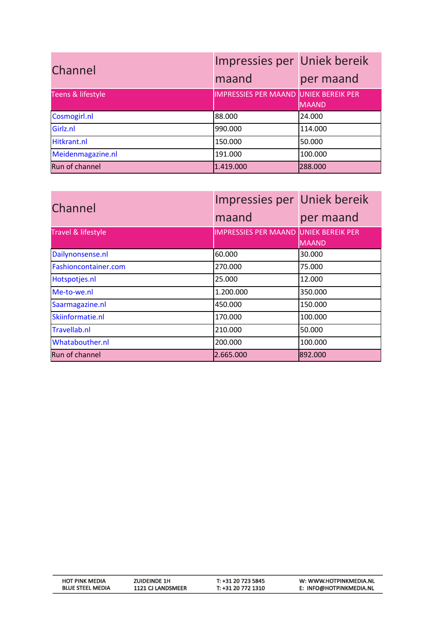| Channel           | Impressies per Uniek bereik<br>maand  | per maand    |
|-------------------|---------------------------------------|--------------|
| Teens & lifestyle | IMPRESSIES PER MAAND UNIEK BEREIK PER | <b>MAAND</b> |
| Cosmogirl.nl      | 88.000                                | 24.000       |
| Girlz.nl          | 990.000                               | 114.000      |
| Hitkrant.nl       | 150.000                               | 50.000       |
| Meidenmagazine.nl | 191.000                               | 100.000      |
| Run of channel    | 1.419.000                             | 288.000      |

| Channel              | Impressies per Uniek bereik                  |           |
|----------------------|----------------------------------------------|-----------|
|                      | maand                                        | per maand |
| Travel & lifestyle   | <b>IMPRESSIES PER MAAND UNIEK BEREIK PER</b> | MAAND     |
| Dailynonsense.nl     | 60.000                                       | 30.000    |
| Fashioncontainer.com | 270.000                                      | 75.000    |
| Hotspotjes.nl        | 25.000                                       | 12.000    |
| Me-to-we.nl          | 1.200.000                                    | 350.000   |
| Saarmagazine.nl      | 450.000                                      | 150.000   |
| Skiinformatie.nl     | 170.000                                      | 100.000   |
| Travellab.nl         | 210.000                                      | 50.000    |
| Whatabouther.nl      | 200.000                                      | 100.000   |
| Run of channel       | 2.665.000                                    | 892.000   |

| <b>HOT PINK MEDIA</b>   | <b>ZUIDEINDE 1H</b>      | T: +31 20 723 5845 | W: WWW.HOTPINKMEDIA.NL  |
|-------------------------|--------------------------|--------------------|-------------------------|
| <b>BLUE STEEL MEDIA</b> | <b>1121 CJ LANDSMEER</b> | T: +31 20 772 1310 | E: INFO@HOTPINKMEDIA.NL |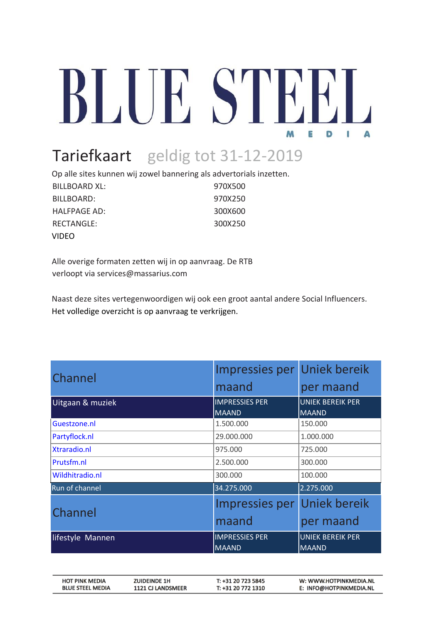## BLUE STEI M B D

## Tariefkaart geldig tot 31-12-2019

Op alle sites kunnen wij zowel bannering als advertorials inzetten.

| BILLBOARD XL: | 970X500 |
|---------------|---------|
| BILLBOARD:    | 970X250 |
| HALFPAGE AD:  | 300X600 |
| RECTANGLE:    | 300X250 |
| <b>VIDEO</b>  |         |

Alle overige formaten zetten wij in op aanvraag. De RTB verloopt via services@massarius.com

Naast deze sites vertegenwoordigen wij ook een groot aantal andere Social Influencers. Het volledige overzicht is op aanvraag te verkrijgen.

| Channel          | Impressies per Uniek bereik           |                                         |
|------------------|---------------------------------------|-----------------------------------------|
|                  | maand                                 | per maand                               |
| Uitgaan & muziek | <b>IMPRESSIES PER</b><br><b>MAAND</b> | <b>UNIEK BEREIK PER</b><br><b>MAAND</b> |
| Guestzone.nl     | 1.500.000                             | 150.000                                 |
| Partyflock.nl    | 29.000.000                            | 1.000.000                               |
| Xtraradio.nl     | 975.000                               | 725.000                                 |
| Prutsfm.nl       | 2.500.000                             | 300.000                                 |
| Wildhitradio.nl  | 300.000                               | 100.000                                 |
| Run of channel   | 34.275.000                            | 2.275.000                               |
| Channel          | Impressies per                        | <b>Uniek bereik</b>                     |
|                  | maand                                 | per maand                               |
| lifestyle Mannen | <b>IMPRESSIES PER</b><br><b>MAAND</b> | <b>UNIEK BEREIK PER</b><br><b>MAAND</b> |

| <b>HOT PINK MEDIA</b>   | <b>ZUIDEINDE 1H</b>      | T: +31 20 723 5845 | W: WWW.HOTPINKMEDIA.NL  |
|-------------------------|--------------------------|--------------------|-------------------------|
| <b>BLUE STEEL MEDIA</b> | <b>1121 CJ LANDSMEER</b> | T: +31 20 772 1310 | E: INFO@HOTPINKMEDIA.NL |